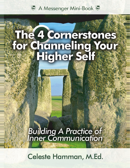

# The 4 Cornerstones<br>for Channeling Your<br>Higher Self

**Building A Practice of**<br>Inner Communication

Celeste Hamman, M.Ed.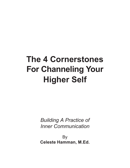# **The 4 Cornerstones For Channeling Your Higher Self**

*Building A Practice of Inner Communication*

**By Celeste Hamman, M.Ed.**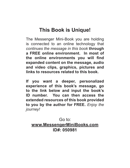### **This Book is Unique!**

The Messenger Mini-Book you are holding is connected to an online technology that *continues the message in this book* **through a FREE online environment. In most of the online environments you will find expanded content on the message, audio and video clips, graphics, pictures and links to resources related to this book.** 

**If you want a deeper, personalized experience of this book's message, go to the link below and input the book's ID number. You can then access the extended resources of this book provided to you by the author for FREE.** *Enjoy the journey!*

Go to: **www.MessengerMiniBooks.com ID#: 050981**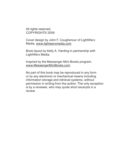All rights reserved, COPYRIGHT© 2009

Cover design by John F. Coughenour of LightWerx Media. www.lightwerxmedia.com

Book layout by Kelly A. Harding in partnership with LightWerx Media.

Inspired by the Messenger Mini-Books program. www.MessengerMiniBooks.com

No part of this book may be reproduced in any form or by any electronic or mechanical means including information storage and retrieval systems, without permission in writing from the author. The only exception is by a reviewer, who may quote short excerpts in a review.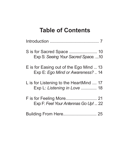# **Table of Contents**

| Exp S: Seeing Your Sacred Space. 10                                          |  |
|------------------------------------------------------------------------------|--|
| E is for Easing out of the Ego Mind  13<br>Exp E: Ego Mind or Awareness?  14 |  |
| L is for Listening to the HeartMind  17<br>Exp L: Listening in Love  18      |  |
| Exp F: Feel Your Antennas Go Up!  22                                         |  |
| <b>Building From Here 25</b>                                                 |  |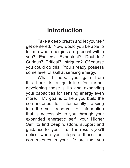# **Introduction**

Take a deep breath and let yourself get centered. Now, would you be able to tell me what energies are present within you? Excited? Expectant? Doubtful? Curious? Critical? Intrigued? Of course you could do this. You already possess some level of skill at sensing energy.

What I hope you gain from this book is a guideline for further developing these skills and expanding your capacities for sensing energy even more. My goal is to help you build the cornerstones for intentionally tapping into the vast reservoir of information that is accessible to you through your expanded energetic self, your Higher Self, to find deep wisdom, support and guidance for your life. The results you'll notice when you integrate these four cornerstones in your life are that you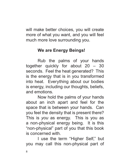will make better choices, you will create more of what you want, and you will feel much more love surrounding you.

### **We are Energy Beings!**

Rub the palms of your hands together quickly for about 20 – 30 seconds. Feel the heat generated? This is the energy that is in you transformed into heat. Everything about our bodies is energy, including our thoughts, beliefs, and emotions.

Now hold the palms of your hands about an inch apart and feel for the space that is between your hands. Can you feel the density that is present there? This is *you* as energy. This is you as a non-physical energy being. It is this "non-physical" part of you that this book is concerned with.

I use the term "Higher Self," but you may call this non-physical part of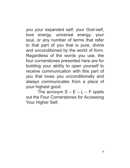you your expanded self, your God-self, love energy, universal energy, your soul, or any number of terms that refer to that part of you that is pure, divine and unconditioned by the world of form. Regardless of the words you use, the four cornerstones presented here are for building your ability to open yourself to receive communication with this part of you that loves you unconditionally and always communicates from a place of your highest good.

The acronym  $S - E - L - F$  spells out the Four Cornerstones for Accessing Your Higher Self.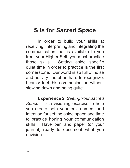## **S is for Sacred Space**

In order to build your skills at receiving, interpreting and integrating the communication that is available to you from your Higher Self, you must practice those skills. Setting aside specific quiet time in order to practice is the first cornerstone. Our world is so full of noise and activity it is often hard to recognize, hear or feel this communication without slowing down and being quite.

**Experience S**: *Seeing Your Sacred Space* – is a visioning exercise to help you create both your environment and intention for setting aside space and time to practice honing your communication skills. Have pen and paper (or your journal) ready to document what you envision.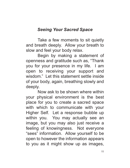### *Seeing Your Sacred Space*

Take a few moments to sit quietly and breath deeply. Allow your breath to slow and feel your body relax.

Begin by making a statement of openness and gratitude such as, "Thank you for your presence in my life. I am open to receiving your support and wisdom." Let this statement settle inside of your body, again, breathing slowly and deeply.

Now ask to be shown where within your physical environment is the best place for you to create a sacred space with which to communicate with your Higher Self. Let a response bubble up within you. You may actually see an image, but you may also just receive a feeling of knowingness. Not everyone "sees" information. Allow yourself to be open to however the information appears to you as it might show up as images,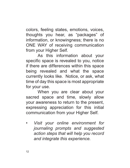colors, feeling states, emotions, voices, thoughts you hear, as "packages" of information, or knowingness; there is no ONE WAY of receiving communication from your Higher Self.

As this information about your specific space is revealed to you, notice if there are differences within this space being revealed and what the space currently looks like. Notice, or ask, what time of day this space is most appropriate for your use.

When you are clear about your sacred space and time, slowly allow your awareness to return to the present, expressing appreciation for this initial communication from your Higher Self.

*• Visit your online environment for journaling prompts and suggested action steps that will help you record and integrate this experience.*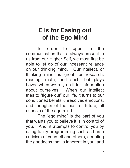# **E is for Easing out of the Ego Mind**

In order to open to the communication that is always present to us from our Higher Self, we must first be able to let go of our incessant reliance on our thinking mind. Our intellect, or thinking mind, is great for research, reading, math, and such, but plays havoc when we rely on it for information about ourselves. When our intellect tries to "figure out" our life, it turns to our conditioned beliefs, unresolved emotions, and thoughts of the past or future, all aspects of the ego mind.

The "ego mind" is the part of you that wants you to believe it is in control of you. And, it attempts to control you by using faulty programming such as harsh criticism of yourself and others, doubting the goodness that is inherent in you, and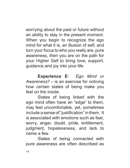worrying about the past or future without an ability to stay in the present moment. When you begin to recognize the ego mind for what it is, an illusion of self, and turn your focus to who you really are, pure awareness, then you are on the path for your Higher Self to bring love, support, guidance and joy into your life.

**Experience E**: *Ego Mind or Awareness?* – is an exercise for noticing how certain states of being make you feel on the inside.

States of being linked with the ego mind often have an "edge" to them, may feel uncomfortable, yet, sometimes include a sense of "justification" in them. It is associated with emotions such as fear, worry, anger, doubt, pride, entitlement, judgment, hopelessness, and lack to name a few.

States of being connected with pure awareness are often described as

14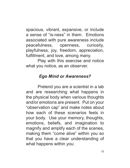spacious, vibrant, expansive, or include a sense of "is-ness" in them. Emotions associated with pure awareness include peacefulness, openness, curiosity, playfulness, joy, freedom, appreciation, fulfillment, and love, among many.

Play with this exercise and notice what you notice, as an observer.

### *Ego Mind or Awareness?*

Pretend you are a scientist in a lab and are researching what happens in the physical body when various thoughts and/or emotions are present. Put on your "observation cap" and make notes about how each of these scenarios feels in your body. Use your memory, thoughts, emotions, beliefs, and imagination to magnify and amplify each of the scenes, making them "come alive" within you so that you have a clear understanding of what happens within *you*.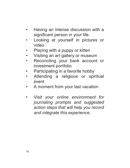- Having an intense discussion with a significant person in your life.
- Looking at yourself in pictures or video
- Playing with a puppy or kitten
- Visiting an art gallery or museum
- Reconciling your bank account or investment portfolio
- Participating in a favorite hobby
- Attending a religious or spiritual event
- A moment from your last vacation
- *Visit your online environment for journaling prompts and suggested action steps that will help you record and integrate this experience.*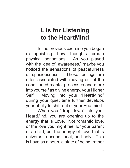# **L is for Listening to the HeartMind**

In the previous exercise you began distinguishing how thoughts create physical sensations. As you played with the idea of "awareness," maybe you noticed the sensations of peacefulness or spaciousness. These feelings are often associated with moving out of the conditioned mental processes and more into yourself as divine energy, your Higher Self. Moving into your "HeartMind" during your quiet time further develops your ability to shift out of your Ego mind.

When you "drop down" into your HeartMind, you are opening up to the energy that is Love. Not romantic love, or the love you might feel for your parent or a child, but the energy of Love that is universal, unconditional, and holy. This is Love as a noun, a state of being, rather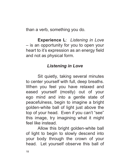than a verb, something you do.

**Experience L**: *Listening in Love* – is an opportunity for you to open your heart to it's expression as an energy field and not as physical form.

### *Listening in Love*

Sit quietly, taking several minutes to center yourself with full, deep breaths. When you feel you have relaxed and eased yourself (mostly) out of your ego mind and into a gentle state of peacefulness, begin to imagine a bright golden-white ball of light just above the top of your head. Even if you can't "see" this image, try imagining what it might feel like instead.

Allow this bright golden-white ball of light to begin to slowly descend into your body through the crown of your head. Let yourself observe this ball of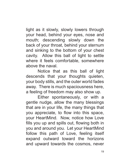light as it slowly, slowly lowers through your head, behind your eyes, nose and mouth; descending slowly down the back of your throat, behind your sternum and sinking to the bottom of your chest cavity. Allow this ball of light to settle where it feels comfortable, somewhere above the naval.

Notice that as this ball of light descends that your thoughts quieten, your body stills, and the outer world fades away. There is much spaciousness here, a feeling of freedom may also show up.

Either spontaneously, or with a gentle nudge, allow the many blessings that are in your life, the many things that you appreciate, to flow into this space, your HeartMind. Now, notice how Love fills you up and spills out, flowing both in you and around you. Let your HeartMind follow this path of Love, feeling itself expand outward toward the horizons and upward towards the cosmos, never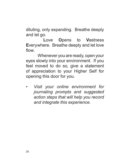diluting, only expanding. Breathe deeply and let go.

**L**ove **O**pens to **V**astness **E**verywhere. Breathe deeply and let love flow.

Whenever you are ready, open your eyes slowly into your environment. If you feel moved to do so, give a statement of appreciation to your Higher Self for opening this door for you.

*• Visit your online environment for journaling prompts and suggested action steps that will help you record and integrate this experience.*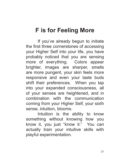# **F is for Feeling More**

If you've already begun to initiate the first three cornerstones of accessing your Higher Self into your life, you have probably noticed that you are sensing more of everything. Colors appear brighter, images are sharper, smells are more pungent, your skin feels more responsive and even your taste buds shift their preferences. When you tap into your expanded consciousness, all of your senses are heightened, and in combination with the communication coming from your Higher Self, your sixth sense, intuition, blooms.

Intuition is the ability to know something without knowing how you know it, you just "know it." You can actually train your intuitive skills with playful experimentation.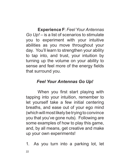**Experience F**: *Feel Your Antennas Go Up!* – is a list of scenarios to stimulate you to experiment with your intuitive abilities as you move throughout your day. You'll learn to strengthen your ability to tap into, and trust, your intuition by turning up the volume on your ability to sense and feel more of the energy fields that surround you.

### *Feel Your Antennas Go Up!*

When you first start playing with tapping into your intuition, remember to let yourself take a few initial centering breaths, and ease out of your ego mind (which will most likely be trying to convince you that you've gone nuts). Following are some examples of how to play this game, and, by all means, get creative and make up your own experiments!

1. As you turn into a parking lot, let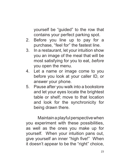yourself be "guided" to the row that contains your perfect parking spot.

- 2. Before you line up to pay for a purchase, "feel for" the fastest line.
- 3. In a restaurant, let your intuition show you an image of the meal that will be most satisfying for you to eat, *before* you open the menu.
- 4. Let a name or image come to you before you look at your caller ID, or answer your phone.
- 5. Pause after you walk into a bookstore and let your eyes locate the brightest table or shelf; move to that location and look for the synchronicity for being drawn there.

Maintain a playful perspective when you experiment with these possibilities, as well as the ones you make up for yourself. When your intuition pans out, give yourself an inner "high five!" When it doesn't appear to be the "right" choice,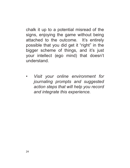chalk it up to a potential misread of the signs, enjoying the game without being attached to the outcome. It's entirely possible that you did get it "right" in the bigger scheme of things, and it's just your intellect (ego mind) that doesn't understand.

*• Visit your online environment for journaling prompts and suggested action steps that will help you record and integrate this experience.*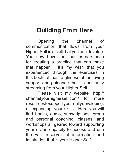# **Building From Here**

Opening the channel of communication that flows from your Higher Self is a skill that you can develop. You now have the four cornerstones for creating a practice that can make that happen. It's my wish that you experienced through the exercises in this book, at least a glimpse of the loving support and guidance that is constantly streaming from your Higher Self.

Please visit my website, http:// channelyourhigherself.com/ for more resourcestosupportyouinfullydeveloping, or expanding, your skills. Here you will find books, audio, subscriptions, group and personal coaching, classes, and workshops all geared toward supporting your divine capacity to access and use the vast reservoir of information and inspiration that is your Higher Self.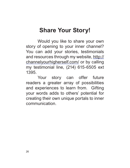# **Share Your Story!**

Would you like to share your own story of opening to your inner channel? You can add your stories, testimonials and resources through my website, http:// channelyourhigherself.com/ or by calling my testimonial line, (214) 615-6505 ext 1395.

Your story can offer future readers a greater array of possibilities and experiences to learn from. Gifting your words adds to others' potential for creating their own unique portals to inner communication.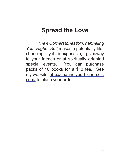# **Spread the Love**

*The 4 Cornerstones for Channeling Your Higher Self* makes a potentially lifechanging, yet inexpensive, giveaway to your friends or at spiritually oriented special events. You can purchase packs of 10 books for a \$10 fee. See my website, http://channelyourhigherself. com/ to place your order.